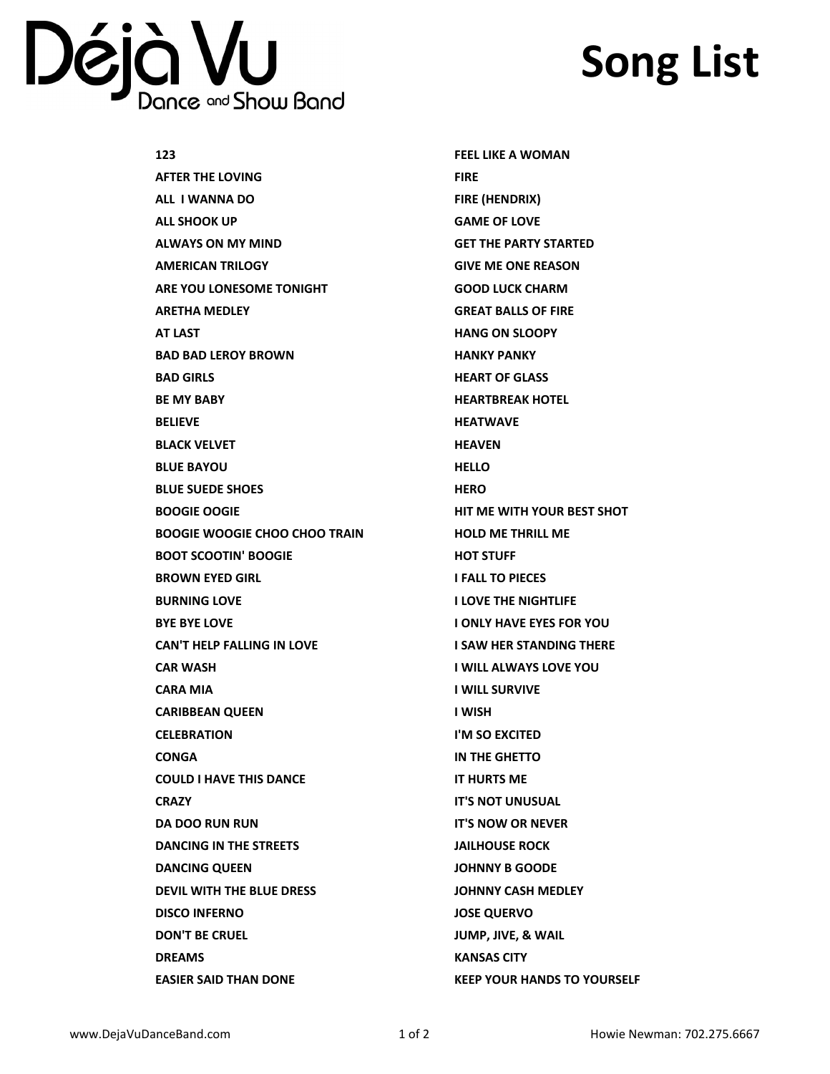## Déjà VU Bance and Show Band

## **Song List**

| 123                                  | <b>FEEL LIKE A WOMAN</b>           |
|--------------------------------------|------------------------------------|
| AFTER THE LOVING                     | <b>FIRE</b>                        |
| ALL I WANNA DO                       | FIRE (HENDRIX)                     |
| ALL SHOOK UP                         | <b>GAME OF LOVE</b>                |
| ALWAYS ON MY MIND                    | <b>GET THE PARTY STARTED</b>       |
| AMERICAN TRILOGY                     | <b>GIVE ME ONE REASON</b>          |
| ARE YOU LONESOME TONIGHT             | <b>GOOD LUCK CHARM</b>             |
| <b>ARETHA MEDLEY</b>                 | <b>GREAT BALLS OF FIRE</b>         |
| AT LAST                              | <b>HANG ON SLOOPY</b>              |
| <b>BAD BAD LEROY BROWN</b>           | <b>HANKY PANKY</b>                 |
| <b>BAD GIRLS</b>                     | <b>HEART OF GLASS</b>              |
| <b>BE MY BABY</b>                    | <b>HEARTBREAK HOTEL</b>            |
| <b>BELIEVE</b>                       | <b>HEATWAVE</b>                    |
| <b>BLACK VELVET</b>                  | <b>HEAVEN</b>                      |
| <b>BLUE BAYOU</b>                    | <b>HELLO</b>                       |
| <b>BLUE SUEDE SHOES</b>              | <b>HERO</b>                        |
| <b>BOOGIE OOGIE</b>                  | HIT ME WITH YOUR BEST SHOT         |
| <b>BOOGIE WOOGIE CHOO CHOO TRAIN</b> | <b>HOLD ME THRILL ME</b>           |
| <b>BOOT SCOOTIN' BOOGIE</b>          | <b>HOT STUFF</b>                   |
| <b>BROWN EYED GIRL</b>               | <b>I FALL TO PIECES</b>            |
| <b>BURNING LOVE</b>                  | <b>I LOVE THE NIGHTLIFE</b>        |
| <b>BYE BYE LOVE</b>                  | <b>I ONLY HAVE EYES FOR YOU</b>    |
| <b>CAN'T HELP FALLING IN LOVE</b>    | <b>I SAW HER STANDING THERE</b>    |
| <b>CAR WASH</b>                      | <b>I WILL ALWAYS LOVE YOU</b>      |
| <b>CARA MIA</b>                      | <b>I WILL SURVIVE</b>              |
| <b>CARIBBEAN QUEEN</b>               | I WISH                             |
| <b>CELEBRATION</b>                   | I'M SO EXCITED                     |
| CONGA                                | IN THE GHETTO                      |
| <b>COULD I HAVE THIS DANCE</b>       | <b>IT HURTS ME</b>                 |
| <b>CRAZY</b>                         | <b>IT'S NOT UNUSUAL</b>            |
| <b>DA DOO RUN RUN</b>                | <b>IT'S NOW OR NEVER</b>           |
| <b>DANCING IN THE STREETS</b>        | <b>JAILHOUSE ROCK</b>              |
| <b>DANCING QUEEN</b>                 | <b>JOHNNY B GOODE</b>              |
| <b>DEVIL WITH THE BLUE DRESS</b>     | <b>JOHNNY CASH MEDLEY</b>          |
| <b>DISCO INFERNO</b>                 | <b>JOSE QUERVO</b>                 |
| <b>DON'T BE CRUEL</b>                | JUMP, JIVE, & WAIL                 |
| <b>DREAMS</b>                        | <b>KANSAS CITY</b>                 |
| <b>EASIER SAID THAN DONE</b>         | <b>KEEP YOUR HANDS TO YOURSELF</b> |